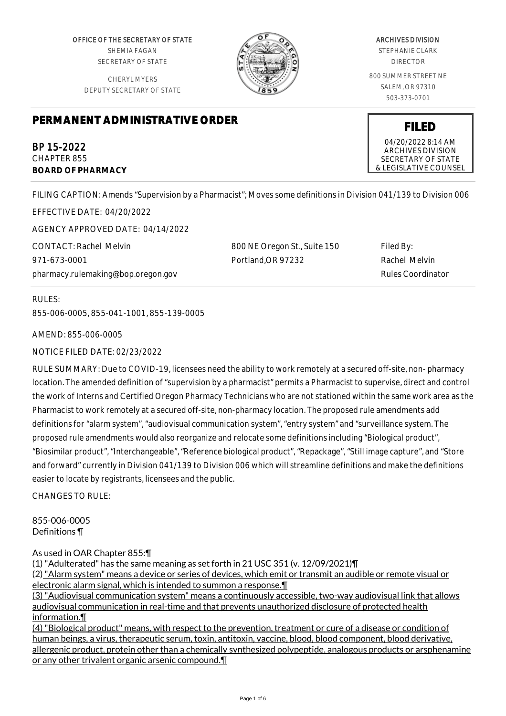OFFICE OF THE SECRETARY OF STATE SHEMIA FAGAN SECRETARY OF STATE

CHERYL MYERS DEPUTY SECRETARY OF STATE



## ARCHIVES DIVISION

STEPHANIE CLARK DIRECTOR

800 SUMMER STREET NE SALEM, OR 97310 503-373-0701

**FILED** 04/20/2022 8:14 AM ARCHIVES DIVISION SECRETARY OF STATE & LEGISLATIVE COUNSEL

# **PERMANENT ADMINISTRATIVE ORDER**

BP 15-2022 CHAPTER 855 **BOARD OF PHARMACY**

FILING CAPTION: Amends "Supervision by a Pharmacist"; Moves some definitions in Division 041/139 to Division 006

EFFECTIVE DATE: 04/20/2022 AGENCY APPROVED DATE: 04/14/2022 CONTACT: Rachel Melvin

971-673-0001 pharmacy.rulemaking@bop.oregon.gov 800 NE Oregon St., Suite 150 Portland,OR 97232

Filed By: Rachel Melvin Rules Coordinator

RULES:

855-006-0005, 855-041-1001, 855-139-0005

AMEND: 855-006-0005

NOTICE FILED DATE: 02/23/2022

RULE SUMMARY: Due to COVID-19, licensees need the ability to work remotely at a secured off-site, non- pharmacy location. The amended definition of "supervision by a pharmacist" permits a Pharmacist to supervise, direct and control the work of Interns and Certified Oregon Pharmacy Technicians who are not stationed within the same work area as the Pharmacist to work remotely at a secured off-site, non-pharmacy location. The proposed rule amendments add definitions for "alarm system", "audiovisual communication system", "entry system" and "surveillance system. The proposed rule amendments would also reorganize and relocate some definitions including "Biological product", "Biosimilar product", "Interchangeable", "Reference biological product", "Repackage", "Still image capture", and "Store and forward" currently in Division 041/139 to Division 006 which will streamline definitions and make the definitions easier to locate by registrants, licensees and the public.

CHANGES TO RULE:

855-006-0005 Definitions ¶

As used in OAR Chapter 855:¶

(1) "Adulterated" has the same meaning as set forth in 21 USC 351 (v. 12/09/2021)¶

(2) "Alarm system" means a device or series of devices, which emit or transmit an audible or remote visual or electronic alarm signal, which is intended to summon a response.¶

(3) "Audiovisual communication system" means a continuously accessible, two-way audiovisual link that allows audiovisual communication in real-time and that prevents unauthorized disclosure of protected health information.¶

(4) "Biological product" means, with respect to the prevention, treatment or cure of a disease or condition of human beings, a virus, therapeutic serum, toxin, antitoxin, vaccine, blood, blood component, blood derivative, allergenic product, protein other than a chemically synthesized polypeptide, analogous products or arsphenamine or any other trivalent organic arsenic compound.¶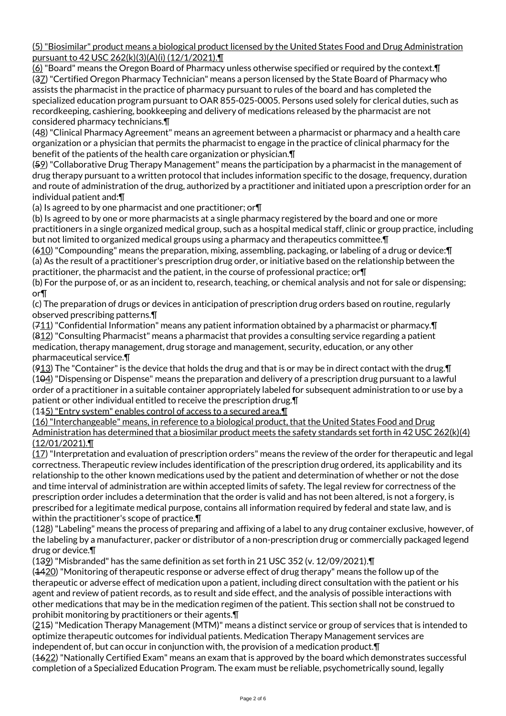(5) "Biosimilar" product means a biological product licensed by the United States Food and Drug Administration pursuant to 42 USC 262(k)(3)(A)(i) (12/1/2021).¶

(6) "Board" means the Oregon Board of Pharmacy unless otherwise specified or required by the context.¶ (37) "Certified Oregon Pharmacy Technician" means a person licensed by the State Board of Pharmacy who assists the pharmacist in the practice of pharmacy pursuant to rules of the board and has completed the specialized education program pursuant to OAR 855-025-0005. Persons used solely for clerical duties, such as recordkeeping, cashiering, bookkeeping and delivery of medications released by the pharmacist are not considered pharmacy technicians.¶

(48) "Clinical Pharmacy Agreement" means an agreement between a pharmacist or pharmacy and a health care organization or a physician that permits the pharmacist to engage in the practice of clinical pharmacy for the benefit of the patients of the health care organization or physician.¶

(59) "Collaborative Drug Therapy Management" means the participation by a pharmacist in the management of drug therapy pursuant to a written protocol that includes information specific to the dosage, frequency, duration and route of administration of the drug, authorized by a practitioner and initiated upon a prescription order for an individual patient and:¶

(a) Is agreed to by one pharmacist and one practitioner; or¶

(b) Is agreed to by one or more pharmacists at a single pharmacy registered by the board and one or more practitioners in a single organized medical group, such as a hospital medical staff, clinic or group practice, including but not limited to organized medical groups using a pharmacy and therapeutics committee.¶

(610) "Compounding" means the preparation, mixing, assembling, packaging, or labeling of a drug or device:¶ (a) As the result of a practitioner's prescription drug order, or initiative based on the relationship between the practitioner, the pharmacist and the patient, in the course of professional practice; or¶

(b) For the purpose of, or as an incident to, research, teaching, or chemical analysis and not for sale or dispensing; or¶

(c) The preparation of drugs or devices in anticipation of prescription drug orders based on routine, regularly observed prescribing patterns.¶

(711) "Confidential Information" means any patient information obtained by a pharmacist or pharmacy.¶ (812) "Consulting Pharmacist" means a pharmacist that provides a consulting service regarding a patient medication, therapy management, drug storage and management, security, education, or any other pharmaceutical service.¶

 $(913)$  The "Container" is the device that holds the drug and that is or may be in direct contact with the drug.  $\P$ (104) "Dispensing or Dispense" means the preparation and delivery of a prescription drug pursuant to a lawful order of a practitioner in a suitable container appropriately labeled for subsequent administration to or use by a patient or other individual entitled to receive the prescription drug.¶

(145) "Entry system" enables control of access to a secured area. I

(16) "Interchangeable" means, in reference to a biological product, that the United States Food and Drug Administration has determined that a biosimilar product meets the safety standards set forth in 42 USC 262(k)(4) (12/01/2021).¶

 $(17)$  "Interpretation and evaluation of prescription orders" means the review of the order for therapeutic and legal correctness. Therapeutic review includes identification of the prescription drug ordered, its applicability and its relationship to the other known medications used by the patient and determination of whether or not the dose and time interval of administration are within accepted limits of safety. The legal review for correctness of the prescription order includes a determination that the order is valid and has not been altered, is not a forgery, is prescribed for a legitimate medical purpose, contains all information required by federal and state law, and is within the practitioner's scope of practice.¶

(128) "Labeling" means the process of preparing and affixing of a label to any drug container exclusive, however, of the labeling by a manufacturer, packer or distributor of a non-prescription drug or commercially packaged legend drug or device.¶

(139) "Misbranded" has the same definition as set forth in 21 USC 352 (v. 12/09/2021).¶

(4420) "Monitoring of therapeutic response or adverse effect of drug therapy" means the follow up of the therapeutic or adverse effect of medication upon a patient, including direct consultation with the patient or his agent and review of patient records, as to result and side effect, and the analysis of possible interactions with other medications that may be in the medication regimen of the patient. This section shall not be construed to prohibit monitoring by practitioners or their agents.¶

(215) "Medication Therapy Management (MTM)" means a distinct service or group of services that is intended to optimize therapeutic outcomes for individual patients. Medication Therapy Management services are independent of, but can occur in conjunction with, the provision of a medication product.¶

(1622) "Nationally Certified Exam" means an exam that is approved by the board which demonstrates successful completion of a Specialized Education Program. The exam must be reliable, psychometrically sound, legally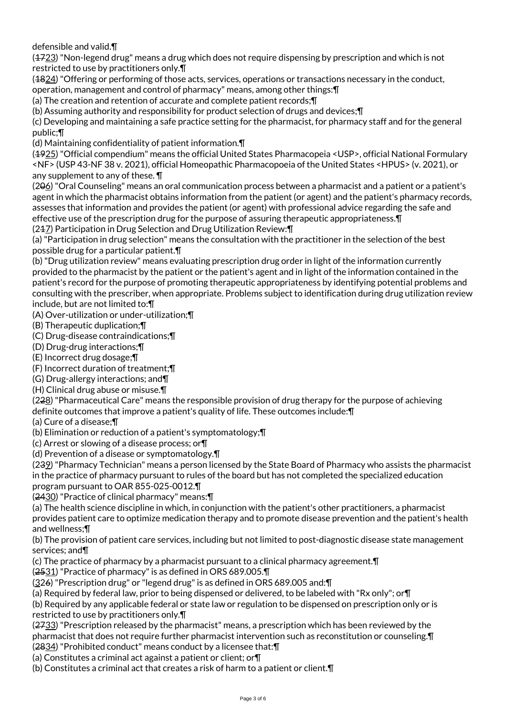defensible and valid.¶

 $(4723)$  "Non-legend drug" means a drug which does not require dispensing by prescription and which is not restricted to use by practitioners only.¶

(4824) "Offering or performing of those acts, services, operations or transactions necessary in the conduct,

operation, management and control of pharmacy" means, among other things:¶

(a) The creation and retention of accurate and complete patient records;¶

(b) Assuming authority and responsibility for product selection of drugs and devices;¶

(c) Developing and maintaining a safe practice setting for the pharmacist, for pharmacy staff and for the general public;¶

(d) Maintaining confidentiality of patient information.¶

(1925) "Official compendium" means the official United States Pharmacopeia <USP>, official National Formulary <NF> (USP 43-NF 38 v. 2021), official Homeopathic Pharmacopoeia of the United States <HPUS> (v. 2021), or any supplement to any of these. ¶

(206) "Oral Counseling" means an oral communication process between a pharmacist and a patient or a patient's agent in which the pharmacist obtains information from the patient (or agent) and the patient's pharmacy records, assesses that information and provides the patient (or agent) with professional advice regarding the safe and effective use of the prescription drug for the purpose of assuring therapeutic appropriateness.¶

(217) Participation in Drug Selection and Drug Utilization Review:¶

(a) "Participation in drug selection" means the consultation with the practitioner in the selection of the best possible drug for a particular patient.¶

(b) "Drug utilization review" means evaluating prescription drug order in light of the information currently provided to the pharmacist by the patient or the patient's agent and in light of the information contained in the patient's record for the purpose of promoting therapeutic appropriateness by identifying potential problems and consulting with the prescriber, when appropriate. Problems subject to identification during drug utilization review include, but are not limited to:¶

(A) Over-utilization or under-utilization;¶

(B) Therapeutic duplication;¶

(C) Drug-disease contraindications;¶

(D) Drug-drug interactions;¶

(E) Incorrect drug dosage;¶

(F) Incorrect duration of treatment;¶

(G) Drug-allergy interactions; and¶

(H) Clinical drug abuse or misuse.¶

(228) "Pharmaceutical Care" means the responsible provision of drug therapy for the purpose of achieving definite outcomes that improve a patient's quality of life. These outcomes include:¶

(a) Cure of a disease;¶

(b) Elimination or reduction of a patient's symptomatology;¶

(c) Arrest or slowing of a disease process; or¶

(d) Prevention of a disease or symptomatology.¶

(239) "Pharmacy Technician" means a person licensed by the State Board of Pharmacy who assists the pharmacist in the practice of pharmacy pursuant to rules of the board but has not completed the specialized education program pursuant to OAR 855-025-0012.¶

(2430) "Practice of clinical pharmacy" means:¶

(a) The health science discipline in which, in conjunction with the patient's other practitioners, a pharmacist provides patient care to optimize medication therapy and to promote disease prevention and the patient's health and wellness;¶

(b) The provision of patient care services, including but not limited to post-diagnostic disease state management services; and¶

(c) The practice of pharmacy by a pharmacist pursuant to a clinical pharmacy agreement.¶

(2531) "Practice of pharmacy" is as defined in ORS 689.005.¶

(326) "Prescription drug" or "legend drug" is as defined in ORS 689.005 and:¶

(a) Required by federal law, prior to being dispensed or delivered, to be labeled with "Rx only"; or¶

(b) Required by any applicable federal or state law or regulation to be dispensed on prescription only or is restricted to use by practitioners only.¶

(2733) "Prescription released by the pharmacist" means, a prescription which has been reviewed by the pharmacist that does not require further pharmacist intervention such as reconstitution or counseling.¶ (2834) "Prohibited conduct" means conduct by a licensee that:¶

(a) Constitutes a criminal act against a patient or client; or¶

(b) Constitutes a criminal act that creates a risk of harm to a patient or client.¶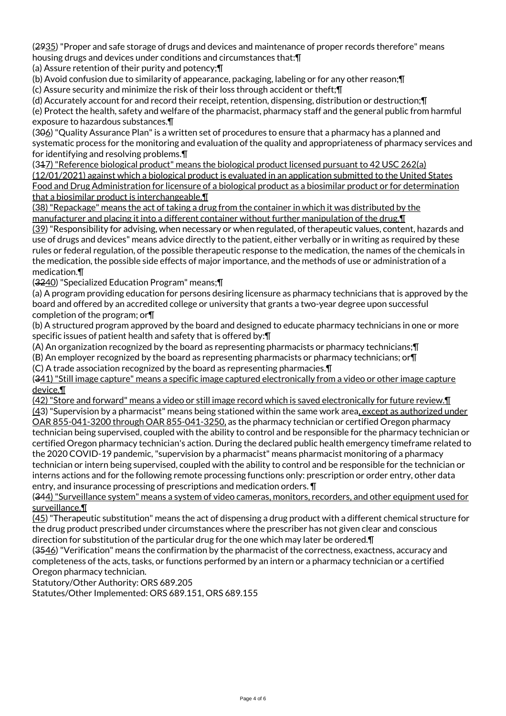(2935) "Proper and safe storage of drugs and devices and maintenance of proper records therefore" means housing drugs and devices under conditions and circumstances that:¶

(a) Assure retention of their purity and potency;¶

(b) Avoid confusion due to similarity of appearance, packaging, labeling or for any other reason;¶

(c) Assure security and minimize the risk of their loss through accident or theft;¶

(d) Accurately account for and record their receipt, retention, dispensing, distribution or destruction;¶

(e) Protect the health, safety and welfare of the pharmacist, pharmacy staff and the general public from harmful exposure to hazardous substances.¶

(306) "Quality Assurance Plan" is a written set of procedures to ensure that a pharmacy has a planned and systematic process for the monitoring and evaluation of the quality and appropriateness of pharmacy services and for identifying and resolving problems.¶

(317) "Reference biological product" means the biological product licensed pursuant to 42 USC 262(a) (12/01/2021) against which a biological product is evaluated in an application submitted to the United States Food and Drug Administration for licensure of a biological product as a biosimilar product or for determination that a biosimilar product is interchangeable.¶

(38) "Repackage" means the act of taking a drug from the container in which it was distributed by the manufacturer and placing it into a different container without further manipulation of the drug. I

(39) "Responsibility for advising, when necessary or when regulated, of therapeutic values, content, hazards and use of drugs and devices" means advice directly to the patient, either verbally or in writing as required by these rules or federal regulation, of the possible therapeutic response to the medication, the names of the chemicals in the medication, the possible side effects of major importance, and the methods of use or administration of a medication.¶

(3240) "Specialized Education Program" means;¶

(a) A program providing education for persons desiring licensure as pharmacy technicians that is approved by the board and offered by an accredited college or university that grants a two-year degree upon successful completion of the program; or¶

(b) A structured program approved by the board and designed to educate pharmacy technicians in one or more specific issues of patient health and safety that is offered by:¶

(A) An organization recognized by the board as representing pharmacists or pharmacy technicians;¶

(B) An employer recognized by the board as representing pharmacists or pharmacy technicians; or¶

(C) A trade association recognized by the board as representing pharmacies.¶

(341) "Still image capture" means a specific image captured electronically from a video or other image capture device.¶

(42) "Store and forward" means a video or still image record which is saved electronically for future review.¶ (43) "Supervision by a pharmacist" means being stationed within the same work area, except as authorized under OAR 855-041-3200 through OAR 855-041-3250, as the pharmacy technician or certified Oregon pharmacy technician being supervised, coupled with the ability to control and be responsible for the pharmacy technician or certified Oregon pharmacy technician's action. During the declared public health emergency timeframe related to the 2020 COVID-19 pandemic, "supervision by a pharmacist" means pharmacist monitoring of a pharmacy technician or intern being supervised, coupled with the ability to control and be responsible for the technician or interns actions and for the following remote processing functions only: prescription or order entry, other data entry, and insurance processing of prescriptions and medication orders. ¶

(344) "Surveillance system" means a system of video cameras, monitors, recorders, and other equipment used for surveillance.¶

(45) "Therapeutic substitution" means the act of dispensing a drug product with a different chemical structure for the drug product prescribed under circumstances where the prescriber has not given clear and conscious direction for substitution of the particular drug for the one which may later be ordered.¶

(3546) "Verification" means the confirmation by the pharmacist of the correctness, exactness, accuracy and completeness of the acts, tasks, or functions performed by an intern or a pharmacy technician or a certified Oregon pharmacy technician.

Statutory/Other Authority: ORS 689.205

Statutes/Other Implemented: ORS 689.151, ORS 689.155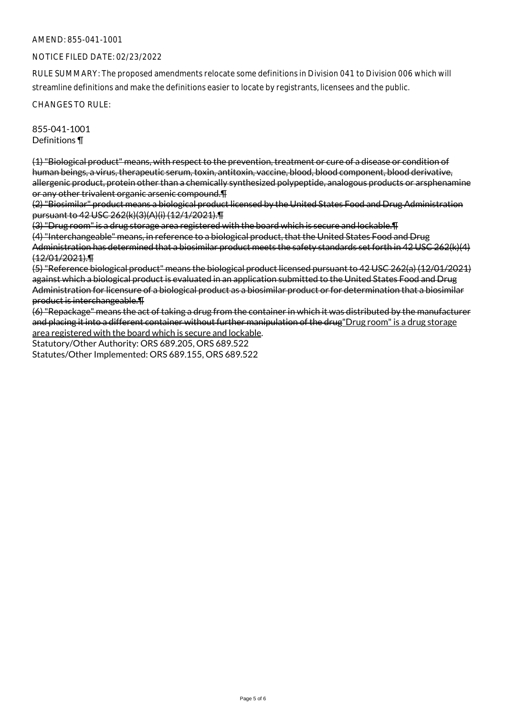## AMEND: 855-041-1001

### NOTICE FILED DATE: 02/23/2022

RULE SUMMARY: The proposed amendments relocate some definitions in Division 041 to Division 006 which will streamline definitions and make the definitions easier to locate by registrants, licensees and the public.

CHANGES TO RULE:

855-041-1001 Definitions ¶

(1) "Biological product" means, with respect to the prevention, treatment or cure of a disease or condition of human beings, a virus, therapeutic serum, toxin, antitoxin, vaccine, blood, blood component, blood derivative, allergenic product, protein other than a chemically synthesized polypeptide, analogous products or arsphenamine or any other trivalent organic arsenic compound.¶

(2) "Biosimilar" product means a biological product licensed by the United States Food and Drug Administration pursuant to 42 USC 262(k)(3)(A)(i) (12/1/2021).¶

(3) "Drug room" is a drug storage area registered with the board which is secure and lockable.¶

(4) "Interchangeable" means, in reference to a biological product, that the United States Food and Drug Administration has determined that a biosimilar product meets the safety standards set forth in 42 USC 262(k)(4) (12/01/2021).¶

(5) "Reference biological product" means the biological product licensed pursuant to 42 USC 262(a) (12/01/2021) against which a biological product is evaluated in an application submitted to the United States Food and Drug Administration for licensure of a biological product as a biosimilar product or for determination that a biosimilar product is interchangeable.¶

(6) "Repackage" means the act of taking a drug from the container in which it was distributed by the manufacturer and placing it into a different container without further manipulation of the drug"Drug room" is a drug storage area registered with the board which is secure and lockable.

Statutory/Other Authority: ORS 689.205, ORS 689.522 Statutes/Other Implemented: ORS 689.155, ORS 689.522